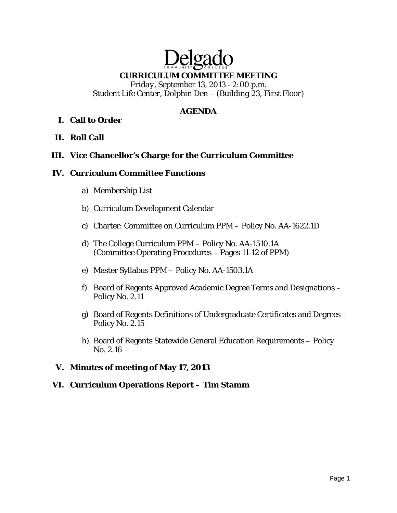# **CURRICULUM COMMITTEE MEETING**

Delga

*Friday, September 13, 2013 - 2:00 p.m. Student Life Center, Dolphin Den – (Building 23, First Floor)* 

## **AGENDA**

## **I. Call to Order**

**II. Roll Call** 

## **III. Vice Chancellor's Charge for the Curriculum Committee**

#### **IV. Curriculum Committee Functions**

- a) Membership List
- b) Curriculum Development Calendar
- c) Charter: Committee on Curriculum PPM Policy No. AA-1622.1D
- d) The College Curriculum PPM Policy No. AA-1510.1A (Committee Operating Procedures – Pages 11-12 of PPM)
- e) Master Syllabus PPM Policy No. AA-1503.1A
- f) Board of Regents Approved Academic Degree Terms and Designations Policy No. 2.11
- g) Board of Regents Definitions of Undergraduate Certificates and Degrees Policy No. 2.15
- h) Board of Regents Statewide General Education Requirements Policy No. 2.16

## **V. Minutes of meeting of May 17, 2013**

#### **VI. Curriculum Operations Report – Tim Stamm**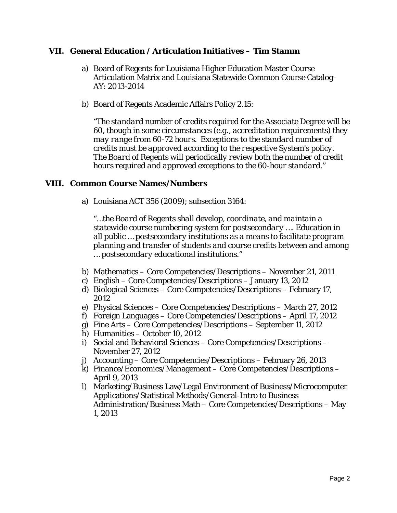## **VII. General Education / Articulation Initiatives – Tim Stamm**

- a) Board of Regents for Louisiana Higher Education Master Course Articulation Matrix and Louisiana Statewide Common Course Catalog– AY: 2013-2014
- b) Board of Regents Academic Affairs Policy 2.15:

*"The standard number of credits required for the Associate Degree will be 60, though in some circumstances (e.g., accreditation requirements) they may range from 60-72 hours. Exceptions to the standard number of credits must be approved according to the respective System's policy. The Board of Regents will periodically review both the number of credit hours required and approved exceptions to the 60-hour standard."*

#### **VIII. Common Course Names/Numbers**

a) Louisiana ACT 356 (2009); subsection 3164:

*"…the Board of Regents shall develop, coordinate, and maintain a statewide course numbering system for postsecondary …. Education in all public … postsecondary institutions as a means to facilitate program planning and transfer of students and course credits between and among … postsecondary educational institutions."* 

- b) Mathematics Core Competencies/Descriptions November 21, 2011
- c) English Core Competencies/Descriptions January 13, 2012
- d) Biological Sciences Core Competencies/Descriptions February 17, 2012
- e) Physical Sciences Core Competencies/Descriptions March 27, 2012
- f) Foreign Languages Core Competencies/Descriptions April 17, 2012
- g) Fine Arts Core Competencies/Descriptions September 11, 2012
- h) Humanities October 10, 2012
- i) Social and Behavioral Sciences Core Competencies/Descriptions November 27, 2012
- j) Accounting Core Competencies/Descriptions February 26, 2013
- k) Finance/Economics/Management Core Competencies/Descriptions April 9, 2013
- l) Marketing/Business Law/Legal Environment of Business/Microcomputer Applications/Statistical Methods/General-Intro to Business Administration/Business Math – Core Competencies/Descriptions – May 1, 2013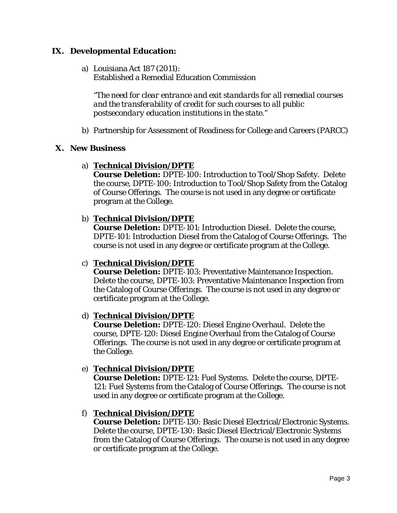## **IX. Developmental Education:**

a) Louisiana Act 187 (2011):

Established a Remedial Education Commission

*"The need for clear entrance and exit standards for all remedial courses and the transferability of credit for such courses to all public postsecondary education institutions in the state."*

b) Partnership for Assessment of Readiness for College and Careers (PARCC)

# **X. New Business**

# a) **Technical Division/DPTE**

**Course Deletion:** DPTE-100: Introduction to Tool/Shop Safety. Delete the course, DPTE-100: Introduction to Tool/Shop Safety from the Catalog of Course Offerings. The course is not used in any degree or certificate program at the College.

# b) **Technical Division/DPTE**

**Course Deletion:** DPTE-101: Introduction Diesel. Delete the course, DPTE-101: Introduction Diesel from the Catalog of Course Offerings. The course is not used in any degree or certificate program at the College.

# c) **Technical Division/DPTE**

**Course Deletion:** DPTE-103: Preventative Maintenance Inspection. Delete the course, DPTE-103: Preventative Maintenance Inspection from the Catalog of Course Offerings. The course is not used in any degree or certificate program at the College.

# d) **Technical Division/DPTE**

**Course Deletion:** DPTE-120: Diesel Engine Overhaul. Delete the course, DPTE-120: Diesel Engine Overhaul from the Catalog of Course Offerings. The course is not used in any degree or certificate program at the College.

# e) **Technical Division/DPTE**

**Course Deletion:** DPTE-121: Fuel Systems. Delete the course, DPTE-121: Fuel Systems from the Catalog of Course Offerings. The course is not used in any degree or certificate program at the College.

# f) **Technical Division/DPTE**

**Course Deletion:** DPTE-130: Basic Diesel Electrical/Electronic Systems. Delete the course, DPTE-130: Basic Diesel Electrical/Electronic Systems from the Catalog of Course Offerings. The course is not used in any degree or certificate program at the College.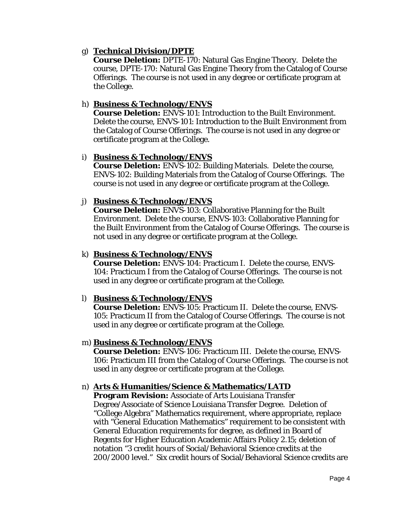## g) **Technical Division/DPTE**

**Course Deletion:** DPTE-170: Natural Gas Engine Theory. Delete the course, DPTE-170: Natural Gas Engine Theory from the Catalog of Course Offerings. The course is not used in any degree or certificate program at the College.

## h) **Business & Technology/ENVS**

**Course Deletion:** ENVS-101: Introduction to the Built Environment. Delete the course, ENVS-101: Introduction to the Built Environment from the Catalog of Course Offerings. The course is not used in any degree or certificate program at the College.

## i) **Business & Technology/ENVS**

**Course Deletion:** ENVS-102: Building Materials. Delete the course, ENVS-102: Building Materials from the Catalog of Course Offerings. The course is not used in any degree or certificate program at the College.

## j) **Business & Technology/ENVS**

**Course Deletion:** ENVS-103: Collaborative Planning for the Built Environment. Delete the course, ENVS-103: Collaborative Planning for the Built Environment from the Catalog of Course Offerings. The course is not used in any degree or certificate program at the College.

## k) **Business & Technology/ENVS**

**Course Deletion:** ENVS-104: Practicum I. Delete the course, ENVS-104: Practicum I from the Catalog of Course Offerings. The course is not used in any degree or certificate program at the College.

## l) **Business & Technology/ENVS**

**Course Deletion:** ENVS-105: Practicum II. Delete the course, ENVS-105: Practicum II from the Catalog of Course Offerings. The course is not used in any degree or certificate program at the College.

## m) **Business & Technology/ENVS**

**Course Deletion:** ENVS-106: Practicum III. Delete the course, ENVS-106: Practicum III from the Catalog of Course Offerings. The course is not used in any degree or certificate program at the College.

# n) **Arts & Humanities/Science & Mathematics/LATD**

**Program Revision:** Associate of Arts Louisiana Transfer Degree/Associate of Science Louisiana Transfer Degree. Deletion of "College Algebra" Mathematics requirement, where appropriate, replace with "General Education Mathematics" requirement to be consistent with General Education requirements for degree, as defined in Board of Regents for Higher Education Academic Affairs Policy 2.15; deletion of notation "3 credit hours of Social/Behavioral Science credits at the 200/2000 level." Six credit hours of Social/Behavioral Science credits are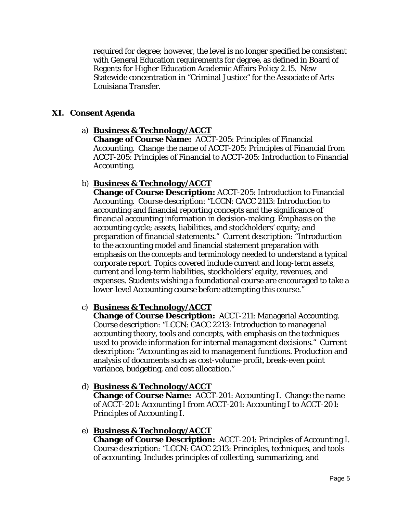required for degree; however, the level is no longer specified be consistent with General Education requirements for degree, as defined in Board of Regents for Higher Education Academic Affairs Policy 2.15. New Statewide concentration in "Criminal Justice" for the Associate of Arts Louisiana Transfer.

## **XI. Consent Agenda**

## a) **Business & Technology/ACCT**

**Change of Course Name:** ACCT-205: Principles of Financial Accounting. Change the name of ACCT-205: Principles of Financial *from*  ACCT-205: Principles of Financial *to* ACCT-205: Introduction to Financial Accounting.

## b) **Business & Technology/ACCT**

**Change of Course Description:** ACCT-205: Introduction to Financial Accounting. Course description: "LCCN: CACC 2113: Introduction to accounting and financial reporting concepts and the significance of financial accounting information in decision-making. Emphasis on the accounting cycle; assets, liabilities, and stockholders' equity; and preparation of financial statements." Current description: "Introduction to the accounting model and financial statement preparation with emphasis on the concepts and terminology needed to understand a typical corporate report. Topics covered include current and long-term assets, current and long-term liabilities, stockholders' equity, revenues, and expenses. Students wishing a foundational course are encouraged to take a lower-level Accounting course before attempting this course."

# c) **Business & Technology/ACCT**

**Change of Course Description:** ACCT-211: Managerial Accounting. Course description: "LCCN: CACC 2213: Introduction to managerial accounting theory, tools and concepts, with emphasis on the techniques used to provide information for internal management decisions." Current description: "Accounting as aid to management functions. Production and analysis of documents such as cost-volume-profit, break-even point variance, budgeting, and cost allocation."

## d) **Business & Technology/ACCT**

**Change of Course Name:** ACCT-201: Accounting I. Change the name of ACCT-201: Accounting I *from* ACCT-201: Accounting I *to* ACCT-201: Principles of Accounting I.

## e) **Business & Technology/ACCT**

**Change of Course Description:** ACCT-201: Principles of Accounting I. Course description: "LCCN: CACC 2313: Principles, techniques, and tools of accounting. Includes principles of collecting, summarizing, and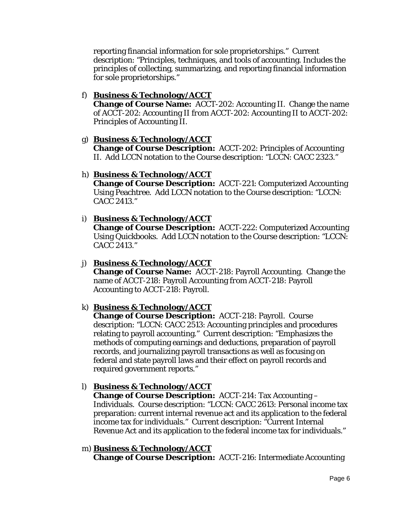reporting financial information for sole proprietorships." Current description: "Principles, techniques, and tools of accounting. Includes the principles of collecting, summarizing, and reporting financial information for sole proprietorships."

## f) **Business & Technology/ACCT**

**Change of Course Name:** ACCT-202: Accounting II. Change the name of ACCT-202: Accounting II *from* ACCT-202: Accounting II *to* ACCT-202: Principles of Accounting II.

## g) **Business & Technology/ACCT**

**Change of Course Description:** ACCT-202: Principles of Accounting II. Add LCCN notation to the Course description: "LCCN: CACC 2323."

## h) **Business & Technology/ACCT**

**Change of Course Description:** ACCT-221: Computerized Accounting Using Peachtree. Add LCCN notation to the Course description: "LCCN: CACC 2413."

## i) **Business & Technology/ACCT**

**Change of Course Description:** ACCT-222: Computerized Accounting Using Quickbooks. Add LCCN notation to the Course description: "LCCN: CACC 2413."

# j) **Business & Technology/ACCT**

**Change of Course Name:** ACCT-218: Payroll Accounting. Change the name of ACCT-218: Payroll Accounting *from* ACCT-218: Payroll Accounting *to* ACCT-218: Payroll.

# k) **Business & Technology/ACCT**

**Change of Course Description:** ACCT-218: Payroll. Course description: "LCCN: CACC 2513: Accounting principles and procedures relating to payroll accounting." Current description: "Emphasizes the methods of computing earnings and deductions, preparation of payroll records, and journalizing payroll transactions as well as focusing on federal and state payroll laws and their effect on payroll records and required government reports."

# l) **Business & Technology/ACCT**

**Change of Course Description:** ACCT-214: Tax Accounting – Individuals. Course description: "LCCN: CACC 2613: Personal income tax preparation: current internal revenue act and its application to the federal income tax for individuals." Current description: "Current Internal Revenue Act and its application to the federal income tax for individuals."

# m) **Business & Technology/ACCT**

**Change of Course Description:** ACCT-216: Intermediate Accounting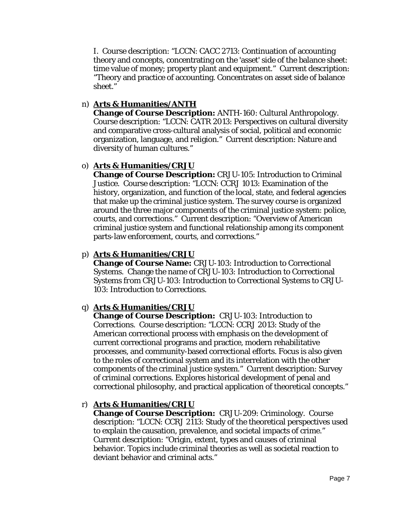I. Course description: "LCCN: CACC 2713: Continuation of accounting theory and concepts, concentrating on the 'asset' side of the balance sheet: time value of money; property plant and equipment." Current description: "Theory and practice of accounting. Concentrates on asset side of balance sheet."

## n) **Arts & Humanities/ANTH**

**Change of Course Description:** ANTH-160: Cultural Anthropology. Course description: "LCCN: CATR 2013: Perspectives on cultural diversity and comparative cross-cultural analysis of social, political and economic organization, language, and religion." Current description: Nature and diversity of human cultures."

## o) **Arts & Humanities/CRJU**

**Change of Course Description:** CRJU-105: Introduction to Criminal Justice. Course description: "LCCN: CCRJ 1013: Examination of the history, organization, and function of the local, state, and federal agencies that make up the criminal justice system. The survey course is organized around the three major components of the criminal justice system: police, courts, and corrections." Current description: "Overview of American criminal justice system and functional relationship among its component parts-law enforcement, courts, and corrections."

## p) **Arts & Humanities/CRJU**

**Change of Course Name:** CRJU-103: Introduction to Correctional Systems. Change the name of CRJU-103: Introduction to Correctional Systems *from* CRJU-103: Introduction to Correctional Systems *to* CRJU-103: Introduction to Corrections.

## q) **Arts & Humanities/CRJU**

**Change of Course Description:** CRJU-103: Introduction to Corrections. Course description: "LCCN: CCRJ 2013: Study of the American correctional process with emphasis on the development of current correctional programs and practice, modern rehabilitative processes, and community-based correctional efforts. Focus is also given to the roles of correctional system and its interrelation with the other components of the criminal justice system." Current description: Survey of criminal corrections. Explores historical development of penal and correctional philosophy, and practical application of theoretical concepts."

## r) **Arts & Humanities/CRJU**

**Change of Course Description:** CRJU-209: Criminology. Course description: "LCCN: CCRJ 2113: Study of the theoretical perspectives used to explain the causation, prevalence, and societal impacts of crime." Current description: "Origin, extent, types and causes of criminal behavior. Topics include criminal theories as well as societal reaction to deviant behavior and criminal acts."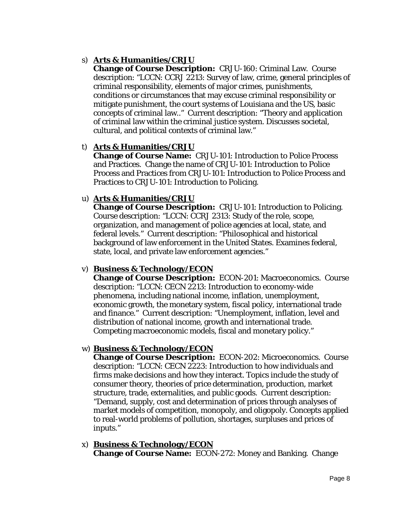## s) **Arts & Humanities/CRJU**

**Change of Course Description:** CRJU-160: Criminal Law. Course description: "LCCN: CCRJ 2213: Survey of law, crime, general principles of criminal responsibility, elements of major crimes, punishments, conditions or circumstances that may excuse criminal responsibility or mitigate punishment, the court systems of Louisiana and the US, basic concepts of criminal law.." Current description: "Theory and application of criminal law within the criminal justice system. Discusses societal, cultural, and political contexts of criminal law."

## t) **Arts & Humanities/CRJU**

**Change of Course Name:** CRJU-101: Introduction to Police Process and Practices. Change the name of CRJU-101: Introduction to Police Process and Practices *from* CRJU-101: Introduction to Police Process and Practices *to* CRJU-101: Introduction to Policing.

## u) **Arts & Humanities/CRJU**

**Change of Course Description:** CRJU-101: Introduction to Policing. Course description: "LCCN: CCRJ 2313: Study of the role, scope, organization, and management of police agencies at local, state, and federal levels." Current description: "Philosophical and historical background of law enforcement in the United States. Examines federal, state, local, and private law enforcement agencies."

## v) **Business & Technology/ECON**

**Change of Course Description:** ECON-201: Macroeconomics. Course description: "LCCN: CECN 2213: Introduction to economy-wide phenomena, including national income, inflation, unemployment, economic growth, the monetary system, fiscal policy, international trade and finance." Current description: "Unemployment, inflation, level and distribution of national income, growth and international trade. Competing macroeconomic models, fiscal and monetary policy."

## w) **Business & Technology/ECON**

**Change of Course Description:** ECON-202: Microeconomics. Course description: "LCCN: CECN 2223: Introduction to how individuals and firms make decisions and how they interact. Topics include the study of consumer theory, theories of price determination, production, market structure, trade, externalities, and public goods. Current description: "Demand, supply, cost and determination of prices through analyses of market models of competition, monopoly, and oligopoly. Concepts applied to real-world problems of pollution, shortages, surpluses and prices of inputs."

#### x) **Business & Technology/ECON Change of Course Name:** ECON-272: Money and Banking. Change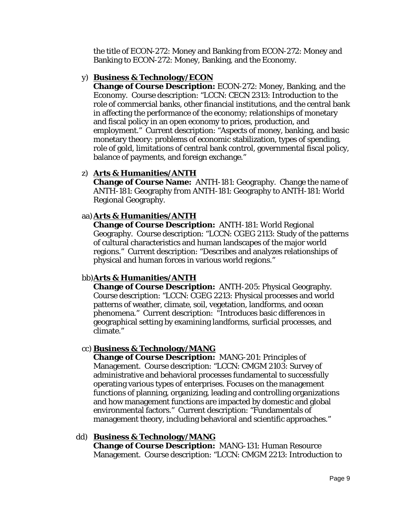the title of ECON-272: Money and Banking *from* ECON-272: Money and Banking *to* ECON-272: Money, Banking, and the Economy.

## y) **Business & Technology/ECON**

**Change of Course Description:** ECON-272: Money, Banking, and the Economy. Course description: "LCCN: CECN 2313: Introduction to the role of commercial banks, other financial institutions, and the central bank in affecting the performance of the economy; relationships of monetary and fiscal policy in an open economy to prices, production, and employment." Current description: "Aspects of money, banking, and basic monetary theory: problems of economic stabilization, types of spending, role of gold, limitations of central bank control, governmental fiscal policy, balance of payments, and foreign exchange."

## z) **Arts & Humanities/ANTH**

**Change of Course Name:** ANTH-181: Geography. Change the name of ANTH-181: Geography *from* ANTH-181: Geography *to* ANTH-181: World Regional Geography.

## aa)**Arts & Humanities/ANTH**

**Change of Course Description:** ANTH-181: World Regional Geography. Course description: "LCCN: CGEG 2113: Study of the patterns of cultural characteristics and human landscapes of the major world regions." Current description: "Describes and analyzes relationships of physical and human forces in various world regions."

# bb)**Arts & Humanities/ANTH**

**Change of Course Description:** ANTH-205: Physical Geography. Course description: "LCCN: CGEG 2213: Physical processes and world patterns of weather, climate, soil, vegetation, landforms, and ocean phenomena." Current description: "Introduces basic differences in geographical setting by examining landforms, surficial processes, and climate."

## cc) **Business & Technology/MANG**

**Change of Course Description:** MANG-201: Principles of Management. Course description: "LCCN: CMGM 2103: Survey of administrative and behavioral processes fundamental to successfully operating various types of enterprises. Focuses on the management functions of planning, organizing, leading and controlling organizations and how management functions are impacted by domestic and global environmental factors." Current description: "Fundamentals of management theory, including behavioral and scientific approaches."

#### dd) **Business & Technology/MANG Change of Course Description:** MANG-131: Human Resource Management. Course description: "LCCN: CMGM 2213: Introduction to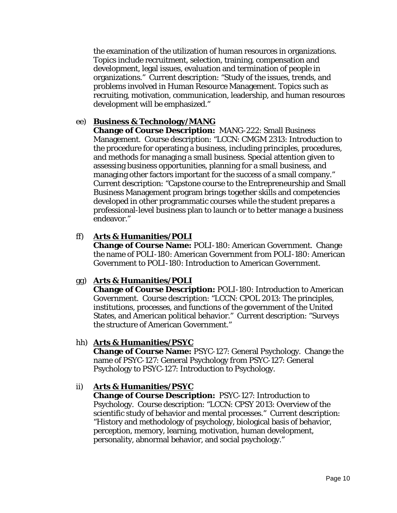the examination of the utilization of human resources in organizations. Topics include recruitment, selection, training, compensation and development, legal issues, evaluation and termination of people in organizations." Current description: "Study of the issues, trends, and problems involved in Human Resource Management. Topics such as recruiting, motivation, communication, leadership, and human resources development will be emphasized."

## ee) **Business & Technology/MANG**

**Change of Course Description:** MANG-222: Small Business Management. Course description: "LCCN: CMGM 2313: Introduction to the procedure for operating a business, including principles, procedures, and methods for managing a small business. Special attention given to assessing business opportunities, planning for a small business, and managing other factors important for the success of a small company." Current description: "Capstone course to the Entrepreneurship and Small Business Management program brings together skills and competencies developed in other programmatic courses while the student prepares a professional-level business plan to launch or to better manage a business endeavor."

## ff) **Arts & Humanities/POLI**

**Change of Course Name:** POLI-180: American Government. Change the name of POLI-180: American Government *from* POLI-180: American Government *to* POLI-180: Introduction to American Government.

## gg) **Arts & Humanities/POLI**

**Change of Course Description:** POLI-180: Introduction to American Government. Course description: "LCCN: CPOL 2013: The principles, institutions, processes, and functions of the government of the United States, and American political behavior." Current description: "Surveys the structure of American Government."

## hh) **Arts & Humanities/PSYC**

**Change of Course Name:** PSYC-127: General Psychology. Change the name of PSYC-127: General Psychology *from* PSYC-127: General Psychology *to* PSYC-127: Introduction to Psychology.

## ii) **Arts & Humanities/PSYC**

**Change of Course Description:** PSYC-127: Introduction to Psychology. Course description: "LCCN: CPSY 2013: Overview of the scientific study of behavior and mental processes." Current description: "History and methodology of psychology, biological basis of behavior, perception, memory, learning, motivation, human development, personality, abnormal behavior, and social psychology."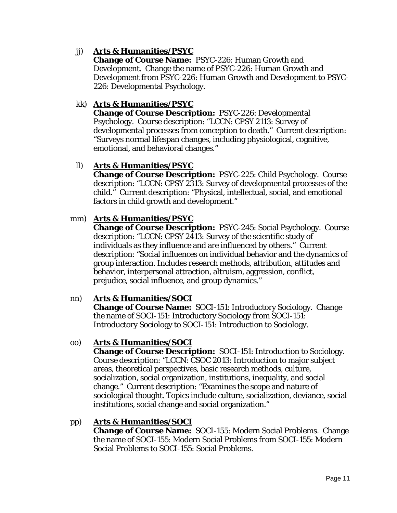## jj) **Arts & Humanities/PSYC**

**Change of Course Name:** PSYC-226: Human Growth and Development. Change the name of PSYC-226: Human Growth and Development *from* PSYC-226: Human Growth and Development *to* PSYC-226: Developmental Psychology.

## kk) **Arts & Humanities/PSYC**

**Change of Course Description:** PSYC-226: Developmental Psychology. Course description: "LCCN: CPSY 2113: Survey of developmental processes from conception to death." Current description: "Surveys normal lifespan changes, including physiological, cognitive, emotional, and behavioral changes."

## ll) **Arts & Humanities/PSYC**

**Change of Course Description:** PSYC-225: Child Psychology. Course description: "LCCN: CPSY 2313: Survey of developmental processes of the child." Current description: "Physical, intellectual, social, and emotional factors in child growth and development."

## mm) **Arts & Humanities/PSYC**

**Change of Course Description:** PSYC-245: Social Psychology. Course description: "LCCN: CPSY 2413: Survey of the scientific study of individuals as they influence and are influenced by others." Current description: "Social influences on individual behavior and the dynamics of group interaction. Includes research methods, attribution, attitudes and behavior, interpersonal attraction, altruism, aggression, conflict, prejudice, social influence, and group dynamics."

## nn) **Arts & Humanities/SOCI**

**Change of Course Name:** SOCI-151: Introductory Sociology. Change the name of SOCI-151: Introductory Sociology *from* SOCI-151: Introductory Sociology *to* SOCI-151: Introduction to Sociology.

## oo) **Arts & Humanities/SOCI**

**Change of Course Description:** SOCI-151: Introduction to Sociology. Course description: "LCCN: CSOC 2013: Introduction to major subject areas, theoretical perspectives, basic research methods, culture, socialization, social organization, institutions, inequality, and social change." Current description: "Examines the scope and nature of sociological thought. Topics include culture, socialization, deviance, social institutions, social change and social organization."

## pp) **Arts & Humanities/SOCI**

**Change of Course Name:** SOCI-155: Modern Social Problems. Change the name of SOCI-155: Modern Social Problems *from* SOCI-155: Modern Social Problems *to* SOCI-155: Social Problems.